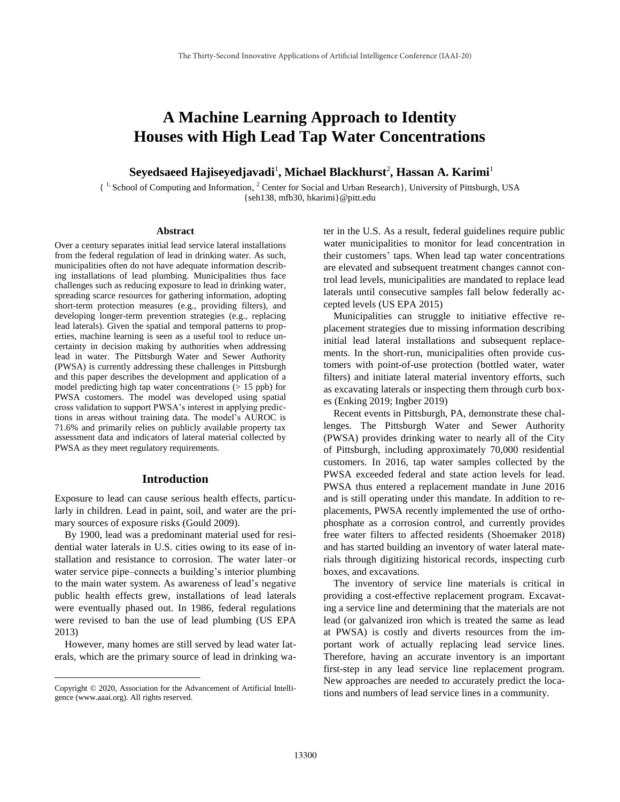# **A Machine Learning Approach to Identity Houses with High Lead Tap Water Concentrations**

 ${\bf S}$ eyedsaeed Hajiseyedjavadi<sup>1</sup>, Michael Blackhurst<sup>2</sup>, Hassan A. Karimi<sup>1</sup>

{ 1, School of Computing and Information, <sup>2</sup> Center for Social and Urban Research}, University of Pittsburgh, USA {seh138, mfb30, hkarimi}@pitt.edu

#### **Abstract**

Over a century separates initial lead service lateral installations from the federal regulation of lead in drinking water. As such, municipalities often do not have adequate information describing installations of lead plumbing. Municipalities thus face challenges such as reducing exposure to lead in drinking water, spreading scarce resources for gathering information, adopting short-term protection measures (e.g., providing filters), and developing longer-term prevention strategies (e.g., replacing lead laterals). Given the spatial and temporal patterns to properties, machine learning is seen as a useful tool to reduce uncertainty in decision making by authorities when addressing lead in water. The Pittsburgh Water and Sewer Authority (PWSA) is currently addressing these challenges in Pittsburgh and this paper describes the development and application of a model predicting high tap water concentrations  $(> 15$  ppb) for PWSA customers. The model was developed using spatial cross validation to support PWSA's interest in applying predictions in areas without training data. The model's AUROC is 71.6% and primarily relies on publicly available property tax assessment data and indicators of lateral material collected by PWSA as they meet regulatory requirements.

### **Introduction**

Exposure to lead can cause serious health effects, particularly in children. Lead in paint, soil, and water are the primary sources of exposure risks (Gould 2009).

By 1900, lead was a predominant material used for residential water laterals in U.S. cities owing to its ease of installation and resistance to corrosion. The water later–or water service pipe–connects a building's interior plumbing to the main water system. As awareness of lead's negative public health effects grew, installations of lead laterals were eventually phased out. In 1986, federal regulations were revised to ban the use of lead plumbing (US EPA 2013)

However, many homes are still served by lead water laterals, which are the primary source of lead in drinking wa-

 $\overline{a}$ 

ter in the U.S. As a result, federal guidelines require public water municipalities to monitor for lead concentration in their customers' taps. When lead tap water concentrations are elevated and subsequent treatment changes cannot control lead levels, municipalities are mandated to replace lead laterals until consecutive samples fall below federally accepted levels (US EPA 2015)

Municipalities can struggle to initiative effective replacement strategies due to missing information describing initial lead lateral installations and subsequent replacements. In the short-run, municipalities often provide customers with point-of-use protection (bottled water, water filters) and initiate lateral material inventory efforts, such as excavating laterals or inspecting them through curb boxes (Enking 2019; Ingber 2019)

Recent events in Pittsburgh, PA, demonstrate these challenges. The Pittsburgh Water and Sewer Authority (PWSA) provides drinking water to nearly all of the City of Pittsburgh, including approximately 70,000 residential customers. In 2016, tap water samples collected by the PWSA exceeded federal and state action levels for lead. PWSA thus entered a replacement mandate in June 2016 and is still operating under this mandate. In addition to replacements, PWSA recently implemented the use of orthophosphate as a corrosion control, and currently provides free water filters to affected residents (Shoemaker 2018) and has started building an inventory of water lateral materials through digitizing historical records, inspecting curb boxes, and excavations.

The inventory of service line materials is critical in providing a cost-effective replacement program. Excavating a service line and determining that the materials are not lead (or galvanized iron which is treated the same as lead at PWSA) is costly and diverts resources from the important work of actually replacing lead service lines. Therefore, having an accurate inventory is an important first-step in any lead service line replacement program. New approaches are needed to accurately predict the locations and numbers of lead service lines in a community.

Copyright © 2020, Association for the Advancement of Artificial Intelligence (www.aaai.org). All rights reserved.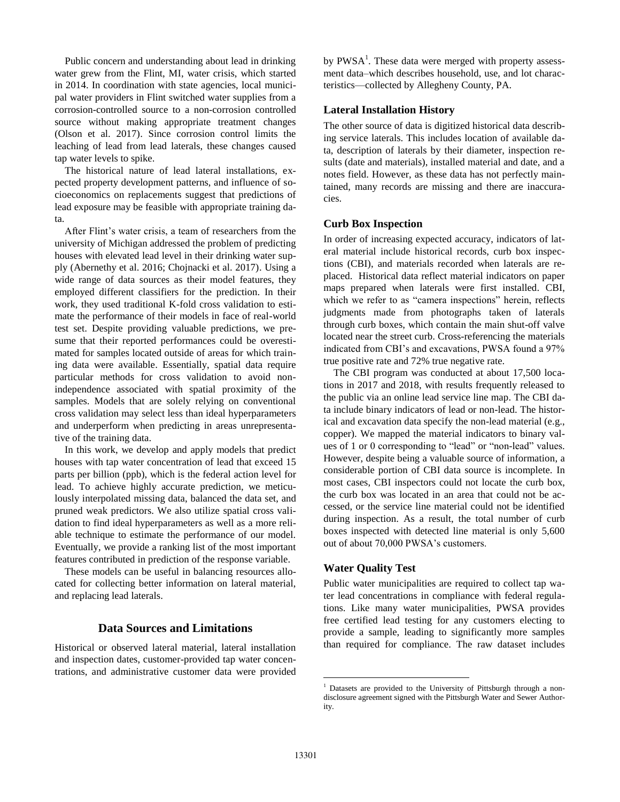Public concern and understanding about lead in drinking water grew from the Flint, MI, water crisis, which started in 2014. In coordination with state agencies, local municipal water providers in Flint switched water supplies from a corrosion-controlled source to a non-corrosion controlled source without making appropriate treatment changes (Olson et al. 2017). Since corrosion control limits the leaching of lead from lead laterals, these changes caused tap water levels to spike.

The historical nature of lead lateral installations, expected property development patterns, and influence of socioeconomics on replacements suggest that predictions of lead exposure may be feasible with appropriate training data.

After Flint's water crisis, a team of researchers from the university of Michigan addressed the problem of predicting houses with elevated lead level in their drinking water supply (Abernethy et al. 2016; Chojnacki et al. 2017). Using a wide range of data sources as their model features, they employed different classifiers for the prediction. In their work, they used traditional K-fold cross validation to estimate the performance of their models in face of real-world test set. Despite providing valuable predictions, we presume that their reported performances could be overestimated for samples located outside of areas for which training data were available. Essentially, spatial data require particular methods for cross validation to avoid nonindependence associated with spatial proximity of the samples. Models that are solely relying on conventional cross validation may select less than ideal hyperparameters and underperform when predicting in areas unrepresentative of the training data.

In this work, we develop and apply models that predict houses with tap water concentration of lead that exceed 15 parts per billion (ppb), which is the federal action level for lead. To achieve highly accurate prediction, we meticulously interpolated missing data, balanced the data set, and pruned weak predictors. We also utilize spatial cross validation to find ideal hyperparameters as well as a more reliable technique to estimate the performance of our model. Eventually, we provide a ranking list of the most important features contributed in prediction of the response variable.

These models can be useful in balancing resources allocated for collecting better information on lateral material, and replacing lead laterals.

### **Data Sources and Limitations**

Historical or observed lateral material, lateral installation and inspection dates, customer-provided tap water concentrations, and administrative customer data were provided

by  $PWSA<sup>1</sup>$ . These data were merged with property assessment data–which describes household, use, and lot characteristics—collected by Allegheny County, PA.

### **Lateral Installation History**

The other source of data is digitized historical data describing service laterals. This includes location of available data, description of laterals by their diameter, inspection results (date and materials), installed material and date, and a notes field. However, as these data has not perfectly maintained, many records are missing and there are inaccuracies.

#### **Curb Box Inspection**

In order of increasing expected accuracy, indicators of lateral material include historical records, curb box inspections (CBI), and materials recorded when laterals are replaced. Historical data reflect material indicators on paper maps prepared when laterals were first installed. CBI, which we refer to as "camera inspections" herein, reflects judgments made from photographs taken of laterals through curb boxes, which contain the main shut-off valve located near the street curb. Cross-referencing the materials indicated from CBI's and excavations, PWSA found a 97% true positive rate and 72% true negative rate.

The CBI program was conducted at about 17,500 locations in 2017 and 2018, with results frequently released to the public via an online lead service line map. The CBI data include binary indicators of lead or non-lead. The historical and excavation data specify the non-lead material (e.g., copper). We mapped the material indicators to binary values of 1 or 0 corresponding to "lead" or "non-lead" values. However, despite being a valuable source of information, a considerable portion of CBI data source is incomplete. In most cases, CBI inspectors could not locate the curb box, the curb box was located in an area that could not be accessed, or the service line material could not be identified during inspection. As a result, the total number of curb boxes inspected with detected line material is only 5,600 out of about 70,000 PWSA's customers.

### **Water Quality Test**

Public water municipalities are required to collect tap water lead concentrations in compliance with federal regulations. Like many water municipalities, PWSA provides free certified lead testing for any customers electing to provide a sample, leading to significantly more samples than required for compliance. The raw dataset includes

 $\overline{a}$ 

<sup>&</sup>lt;sup>1</sup> Datasets are provided to the University of Pittsburgh through a nondisclosure agreement signed with the Pittsburgh Water and Sewer Authority.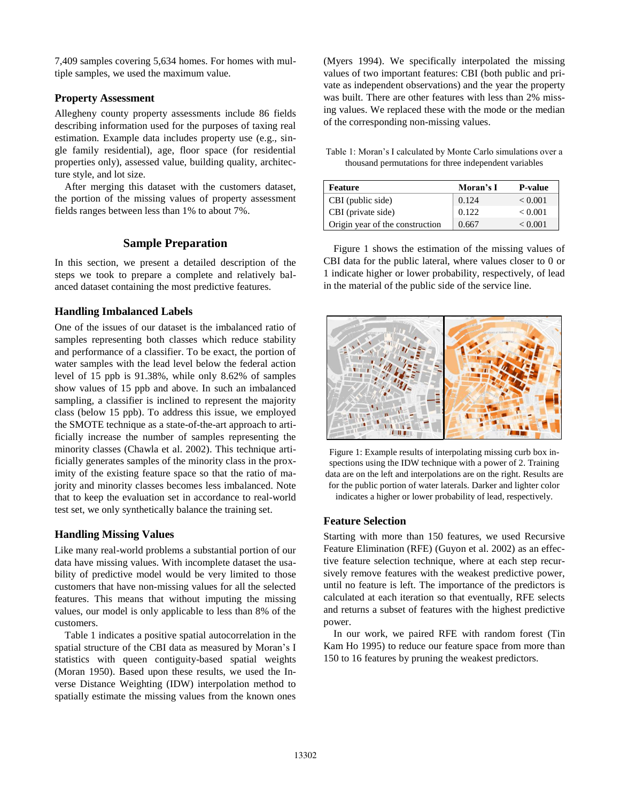7,409 samples covering 5,634 homes. For homes with multiple samples, we used the maximum value.

### **Property Assessment**

Allegheny county property assessments include 86 fields describing information used for the purposes of taxing real estimation. Example data includes property use (e.g., single family residential), age, floor space (for residential properties only), assessed value, building quality, architecture style, and lot size.

After merging this dataset with the customers dataset, the portion of the missing values of property assessment fields ranges between less than 1% to about 7%.

# **Sample Preparation**

In this section, we present a detailed description of the steps we took to prepare a complete and relatively balanced dataset containing the most predictive features.

### **Handling Imbalanced Labels**

One of the issues of our dataset is the imbalanced ratio of samples representing both classes which reduce stability and performance of a classifier. To be exact, the portion of water samples with the lead level below the federal action level of 15 ppb is 91.38%, while only 8.62% of samples show values of 15 ppb and above. In such an imbalanced sampling, a classifier is inclined to represent the majority class (below 15 ppb). To address this issue, we employed the SMOTE technique as a state-of-the-art approach to artificially increase the number of samples representing the minority classes (Chawla et al. 2002). This technique artificially generates samples of the minority class in the proximity of the existing feature space so that the ratio of majority and minority classes becomes less imbalanced. Note that to keep the evaluation set in accordance to real-world test set, we only synthetically balance the training set.

# **Handling Missing Values**

Like many real-world problems a substantial portion of our data have missing values. With incomplete dataset the usability of predictive model would be very limited to those customers that have non-missing values for all the selected features. This means that without imputing the missing values, our model is only applicable to less than 8% of the customers.

Table 1 indicates a positive spatial autocorrelation in the spatial structure of the CBI data as measured by Moran's I statistics with queen contiguity-based spatial weights (Moran 1950). Based upon these results, we used the Inverse Distance Weighting (IDW) interpolation method to spatially estimate the missing values from the known ones

(Myers 1994). We specifically interpolated the missing values of two important features: CBI (both public and private as independent observations) and the year the property was built. There are other features with less than 2% missing values. We replaced these with the mode or the median of the corresponding non-missing values.

Table 1: Moran's I calculated by Monte Carlo simulations over a thousand permutations for three independent variables

| Feature                         | Moran's I | <b>P</b> -value |
|---------------------------------|-----------|-----------------|
| CBI (public side)               | 0.124     | < 0.001         |
| CBI (private side)              | 0.122     | ${}_{< 0.001}$  |
| Origin year of the construction | 0.667     | < 0.001         |

Figure 1 shows the estimation of the missing values of CBI data for the public lateral, where values closer to 0 or 1 indicate higher or lower probability, respectively, of lead in the material of the public side of the service line.





**Feature Selection**

Starting with more than 150 features, we used Recursive Feature Elimination (RFE) (Guyon et al. 2002) as an effective feature selection technique, where at each step recursively remove features with the weakest predictive power, until no feature is left. The importance of the predictors is calculated at each iteration so that eventually, RFE selects and returns a subset of features with the highest predictive power.

In our work, we paired RFE with random forest (Tin Kam Ho 1995) to reduce our feature space from more than 150 to 16 features by pruning the weakest predictors.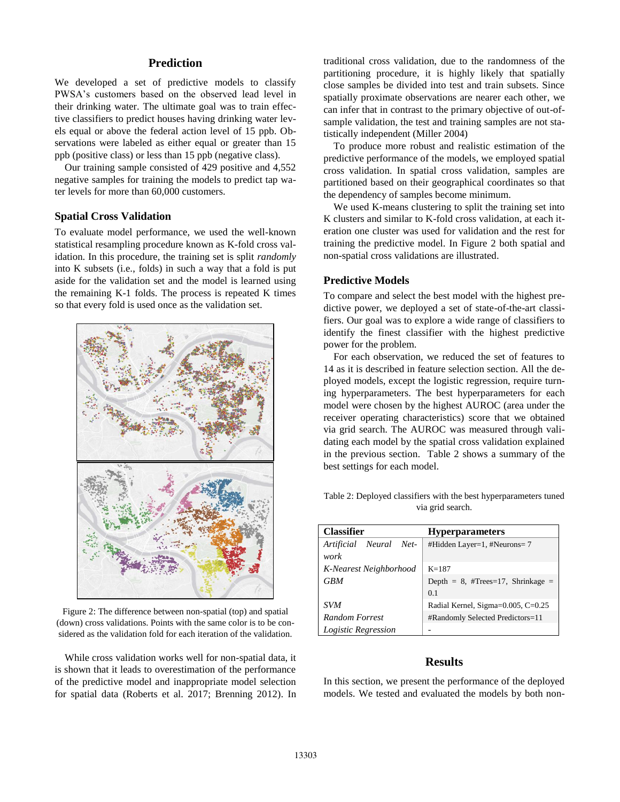### **Prediction**

We developed a set of predictive models to classify PWSA's customers based on the observed lead level in their drinking water. The ultimate goal was to train effective classifiers to predict houses having drinking water levels equal or above the federal action level of 15 ppb. Observations were labeled as either equal or greater than 15 ppb (positive class) or less than 15 ppb (negative class).

Our training sample consisted of 429 positive and 4,552 negative samples for training the models to predict tap water levels for more than 60,000 customers.

### **Spatial Cross Validation**

To evaluate model performance, we used the well-known statistical resampling procedure known as K-fold cross validation. In this procedure, the training set is split *randomly* into K subsets (i.e., folds) in such a way that a fold is put aside for the validation set and the model is learned using the remaining K-1 folds. The process is repeated K times so that every fold is used once as the validation set.



Figure 2: The difference between non-spatial (top) and spatial (down) cross validations. Points with the same color is to be considered as the validation fold for each iteration of the validation.

While cross validation works well for non-spatial data, it is shown that it leads to overestimation of the performance of the predictive model and inappropriate model selection for spatial data (Roberts et al. 2017; Brenning 2012). In

traditional cross validation, due to the randomness of the partitioning procedure, it is highly likely that spatially close samples be divided into test and train subsets. Since spatially proximate observations are nearer each other, we can infer that in contrast to the primary objective of out-ofsample validation, the test and training samples are not statistically independent (Miller 2004)

To produce more robust and realistic estimation of the predictive performance of the models, we employed spatial cross validation. In spatial cross validation, samples are partitioned based on their geographical coordinates so that the dependency of samples become minimum.

We used K-means clustering to split the training set into K clusters and similar to K-fold cross validation, at each iteration one cluster was used for validation and the rest for training the predictive model. In Figure 2 both spatial and non-spatial cross validations are illustrated.

#### **Predictive Models**

To compare and select the best model with the highest predictive power, we deployed a set of state-of-the-art classifiers. Our goal was to explore a wide range of classifiers to identify the finest classifier with the highest predictive power for the problem.

For each observation, we reduced the set of features to 14 as it is described in feature selection section. All the deployed models, except the logistic regression, require turning hyperparameters. The best hyperparameters for each model were chosen by the highest AUROC (area under the receiver operating characteristics) score that we obtained via grid search. The AUROC was measured through validating each model by the spatial cross validation explained in the previous section. Table 2 shows a summary of the best settings for each model.

Table 2: Deployed classifiers with the best hyperparameters tuned via grid search.

| <b>Classifier</b>                 | <b>Hyperparameters</b>               |
|-----------------------------------|--------------------------------------|
| Neural Net-<br>Artificial<br>work | #Hidden Layer=1, #Neurons=7          |
| K-Nearest Neighborhood            | $K = 187$                            |
| <b>GBM</b>                        | Depth = $8$ , #Trees=17, Shrinkage = |
|                                   | 0.1                                  |
| <b>SVM</b>                        | Radial Kernel, Sigma=0.005, C=0.25   |
| <b>Random Forrest</b>             | #Randomly Selected Predictors=11     |
| Logistic Regression               |                                      |

### **Results**

In this section, we present the performance of the deployed models. We tested and evaluated the models by both non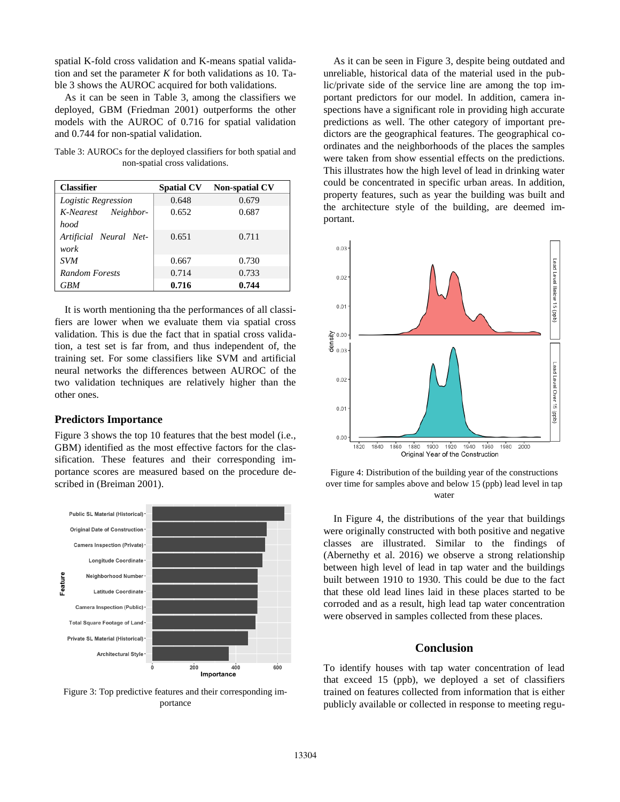spatial K-fold cross validation and K-means spatial validation and set the parameter  $K$  for both validations as 10. Table 3 shows the AUROC acquired for both validations.

As it can be seen in Table 3, among the classifiers we deployed, GBM (Friedman 2001) outperforms the other models with the AUROC of 0.716 for spatial validation and 0.744 for non-spatial validation.

Table 3: AUROCs for the deployed classifiers for both spatial and non-spatial cross validations.

| <b>Classifier</b>      | <b>Spatial CV</b> | <b>Non-spatial CV</b> |
|------------------------|-------------------|-----------------------|
| Logistic Regression    | 0.648             | 0.679                 |
| K-Nearest Neighbor-    | 0.652             | 0.687                 |
| hood                   |                   |                       |
| Artificial Neural Net- | 0.651             | 0.711                 |
| work                   |                   |                       |
| <b>SVM</b>             | 0.667             | 0.730                 |
| <b>Random Forests</b>  | 0.714             | 0.733                 |
| <b>GBM</b>             | 0.716             | 0.744                 |

It is worth mentioning tha the performances of all classifiers are lower when we evaluate them via spatial cross validation. This is due the fact that in spatial cross validation, a test set is far from, and thus independent of, the training set. For some classifiers like SVM and artificial neural networks the differences between AUROC of the two validation techniques are relatively higher than the other ones.

### **Predictors Importance**

Figure 3 shows the top 10 features that the best model (i.e., GBM) identified as the most effective factors for the classification. These features and their corresponding importance scores are measured based on the procedure described in (Breiman 2001).



Figure 3: Top predictive features and their corresponding importance

As it can be seen in Figure 3, despite being outdated and unreliable, historical data of the material used in the public/private side of the service line are among the top important predictors for our model. In addition, camera inspections have a significant role in providing high accurate predictions as well. The other category of important predictors are the geographical features. The geographical coordinates and the neighborhoods of the places the samples were taken from show essential effects on the predictions. This illustrates how the high level of lead in drinking water could be concentrated in specific urban areas. In addition, property features, such as year the building was built and the architecture style of the building, are deemed important.



Figure 4: Distribution of the building year of the constructions over time for samples above and below 15 (ppb) lead level in tap water

In Figure 4, the distributions of the year that buildings were originally constructed with both positive and negative classes are illustrated. Similar to the findings of (Abernethy et al. 2016) we observe a strong relationship between high level of lead in tap water and the buildings built between 1910 to 1930. This could be due to the fact that these old lead lines laid in these places started to be corroded and as a result, high lead tap water concentration were observed in samples collected from these places.

### **Conclusion**

To identify houses with tap water concentration of lead that exceed 15 (ppb), we deployed a set of classifiers trained on features collected from information that is either publicly available or collected in response to meeting regu